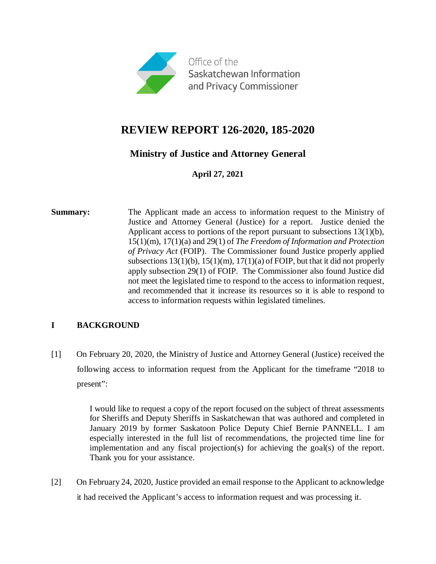

# **REVIEW REPORT 126-2020, 185-2020**

# **Ministry of Justice and Attorney General**

**April 27, 2021**

**Summary:** The Applicant made an access to information request to the Ministry of Justice and Attorney General (Justice) for a report. Justice denied the Applicant access to portions of the report pursuant to subsections 13(1)(b), 15(1)(m), 17(1)(a) and 29(1) of *The Freedom of Information and Protection of Privacy Act* (FOIP). The Commissioner found Justice properly applied subsections  $13(1)(b)$ ,  $15(1)(m)$ ,  $17(1)(a)$  of FOIP, but that it did not properly apply subsection 29(1) of FOIP. The Commissioner also found Justice did not meet the legislated time to respond to the access to information request, and recommended that it increase its resources so it is able to respond to access to information requests within legislated timelines.

# **I BACKGROUND**

[1] On February 20, 2020, the Ministry of Justice and Attorney General (Justice) received the following access to information request from the Applicant for the timeframe "2018 to present":

> I would like to request a copy of the report focused on the subject of threat assessments for Sheriffs and Deputy Sheriffs in Saskatchewan that was authored and completed in January 2019 by former Saskatoon Police Deputy Chief Bernie PANNELL. I am especially interested in the full list of recommendations, the projected time line for implementation and any fiscal projection(s) for achieving the goal(s) of the report. Thank you for your assistance.

[2] On February 24, 2020, Justice provided an email response to the Applicant to acknowledge it had received the Applicant's access to information request and was processing it.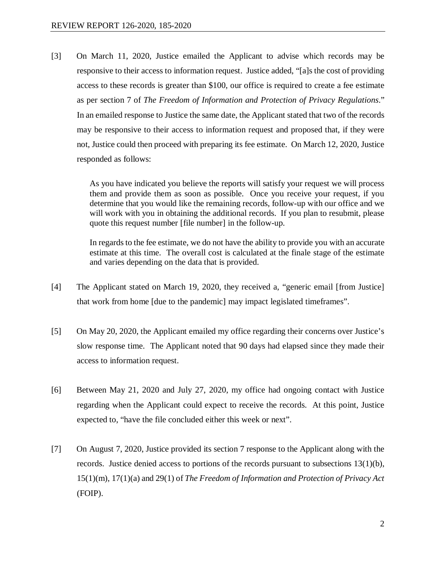[3] On March 11, 2020, Justice emailed the Applicant to advise which records may be responsive to their access to information request. Justice added, "[a]s the cost of providing access to these records is greater than \$100, our office is required to create a fee estimate as per section 7 of *The Freedom of Information and Protection of Privacy Regulations*." In an emailed response to Justice the same date, the Applicant stated that two of the records may be responsive to their access to information request and proposed that, if they were not, Justice could then proceed with preparing its fee estimate. On March 12, 2020, Justice responded as follows:

> As you have indicated you believe the reports will satisfy your request we will process them and provide them as soon as possible. Once you receive your request, if you determine that you would like the remaining records, follow-up with our office and we will work with you in obtaining the additional records. If you plan to resubmit, please quote this request number [file number] in the follow-up.

> In regards to the fee estimate, we do not have the ability to provide you with an accurate estimate at this time. The overall cost is calculated at the finale stage of the estimate and varies depending on the data that is provided.

- [4] The Applicant stated on March 19, 2020, they received a, "generic email [from Justice] that work from home [due to the pandemic] may impact legislated timeframes".
- [5] On May 20, 2020, the Applicant emailed my office regarding their concerns over Justice's slow response time. The Applicant noted that 90 days had elapsed since they made their access to information request.
- [6] Between May 21, 2020 and July 27, 2020, my office had ongoing contact with Justice regarding when the Applicant could expect to receive the records. At this point, Justice expected to, "have the file concluded either this week or next".
- [7] On August 7, 2020, Justice provided its section 7 response to the Applicant along with the records. Justice denied access to portions of the records pursuant to subsections 13(1)(b), 15(1)(m), 17(1)(a) and 29(1) of *The Freedom of Information and Protection of Privacy Act* (FOIP).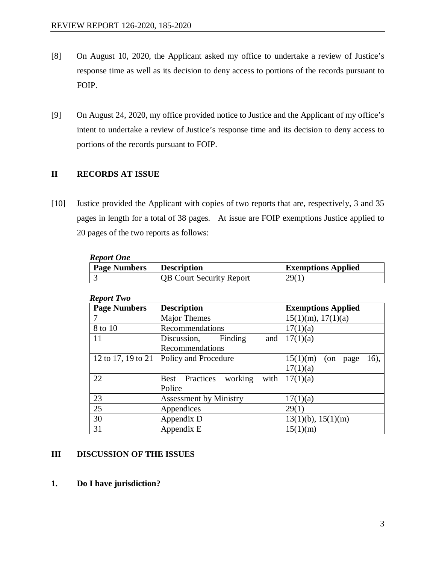- [8] On August 10, 2020, the Applicant asked my office to undertake a review of Justice's response time as well as its decision to deny access to portions of the records pursuant to FOIP.
- [9] On August 24, 2020, my office provided notice to Justice and the Applicant of my office's intent to undertake a review of Justice's response time and its decision to deny access to portions of the records pursuant to FOIP.

# **II RECORDS AT ISSUE**

[10] Justice provided the Applicant with copies of two reports that are, respectively, 3 and 35 pages in length for a total of 38 pages. At issue are FOIP exemptions Justice applied to 20 pages of the two reports as follows:

| <b>Report One</b>   |                                 |                           |
|---------------------|---------------------------------|---------------------------|
| <b>Page Numbers</b> | <b>Description</b>              | <b>Exemptions Applied</b> |
|                     | <b>QB</b> Court Security Report | 29 <sub>(1)</sub>         |

| REPUIL 1 IIV        |                                          |                               |
|---------------------|------------------------------------------|-------------------------------|
| <b>Page Numbers</b> | <b>Description</b>                       | <b>Exemptions Applied</b>     |
| 7                   | Major Themes                             | $15(1)(m)$ , $17(1)(a)$       |
| 8 to 10             | Recommendations                          | 17(1)(a)                      |
| 11                  | Finding<br>and<br>Discussion,            | 17(1)(a)                      |
|                     | Recommendations                          |                               |
| 12 to 17, 19 to 21  | <b>Policy and Procedure</b>              | 15(1)(m)<br>16).<br>(on page) |
|                     |                                          | 17(1)(a)                      |
| 22                  | <b>Best</b> Practices<br>working<br>with | 17(1)(a)                      |
|                     | Police                                   |                               |
| 23                  | <b>Assessment by Ministry</b>            | 17(1)(a)                      |
| 25                  | Appendices                               | 29(1)                         |
| 30                  | Appendix D                               | $13(1)(b)$ , $15(1)(m)$       |
| 31                  | Appendix E                               | 15(1)(m)                      |

#### *Report Two*

#### **III DISCUSSION OF THE ISSUES**

**1. Do I have jurisdiction?**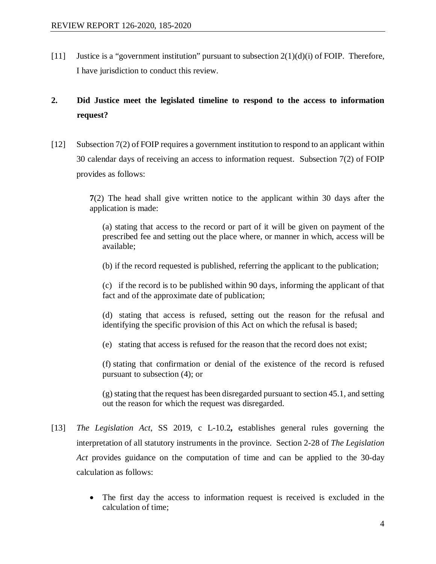[11] Justice is a "government institution" pursuant to subsection  $2(1)(d)(i)$  of FOIP. Therefore, I have jurisdiction to conduct this review.

# **2. Did Justice meet the legislated timeline to respond to the access to information request?**

[12] Subsection 7(2) of FOIP requires a government institution to respond to an applicant within 30 calendar days of receiving an access to information request. Subsection 7(2) of FOIP provides as follows:

> **7**(2) The head shall give written notice to the applicant within 30 days after the application is made:

(a) stating that access to the record or part of it will be given on payment of the prescribed fee and setting out the place where, or manner in which, access will be available;

(b) if the record requested is published, referring the applicant to the publication;

(c) if the record is to be published within 90 days, informing the applicant of that fact and of the approximate date of publication;

(d) stating that access is refused, setting out the reason for the refusal and identifying the specific provision of this Act on which the refusal is based;

(e) stating that access is refused for the reason that the record does not exist;

(f) stating that confirmation or denial of the existence of the record is refused pursuant to subsection (4); or

(g) stating that the request has been disregarded pursuant to section 45.1, and setting out the reason for which the request was disregarded.

- [13] *The Legislation Act*, SS 2019, c L-10.2**,** establishes general rules governing the interpretation of all statutory instruments in the province. Section 2-28 of *The Legislation Act* provides guidance on the computation of time and can be applied to the 30-day calculation as follows:
	- The first day the access to information request is received is excluded in the calculation of time;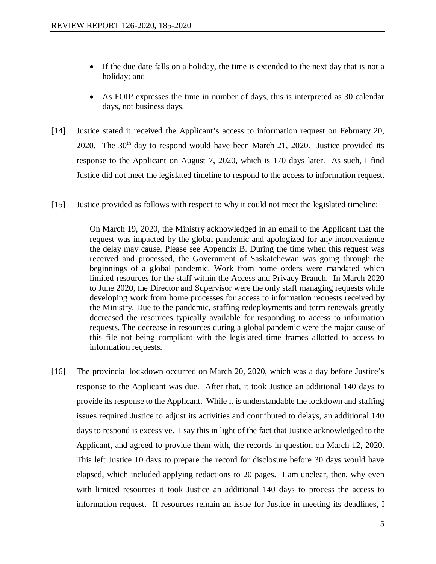- If the due date falls on a holiday, the time is extended to the next day that is not a holiday; and
- As FOIP expresses the time in number of days, this is interpreted as 30 calendar days, not business days.
- [14] Justice stated it received the Applicant's access to information request on February 20, 2020. The  $30<sup>th</sup>$  day to respond would have been March 21, 2020. Justice provided its response to the Applicant on August 7, 2020, which is 170 days later. As such, I find Justice did not meet the legislated timeline to respond to the access to information request.
- [15] Justice provided as follows with respect to why it could not meet the legislated timeline:

On March 19, 2020, the Ministry acknowledged in an email to the Applicant that the request was impacted by the global pandemic and apologized for any inconvenience the delay may cause. Please see Appendix B. During the time when this request was received and processed, the Government of Saskatchewan was going through the beginnings of a global pandemic. Work from home orders were mandated which limited resources for the staff within the Access and Privacy Branch. In March 2020 to June 2020, the Director and Supervisor were the only staff managing requests while developing work from home processes for access to information requests received by the Ministry. Due to the pandemic, staffing redeployments and term renewals greatly decreased the resources typically available for responding to access to information requests. The decrease in resources during a global pandemic were the major cause of this file not being compliant with the legislated time frames allotted to access to information requests.

[16] The provincial lockdown occurred on March 20, 2020, which was a day before Justice's response to the Applicant was due. After that, it took Justice an additional 140 days to provide its response to the Applicant. While it is understandable the lockdown and staffing issues required Justice to adjust its activities and contributed to delays, an additional 140 days to respond is excessive. I say this in light of the fact that Justice acknowledged to the Applicant, and agreed to provide them with, the records in question on March 12, 2020. This left Justice 10 days to prepare the record for disclosure before 30 days would have elapsed, which included applying redactions to 20 pages. I am unclear, then, why even with limited resources it took Justice an additional 140 days to process the access to information request. If resources remain an issue for Justice in meeting its deadlines, I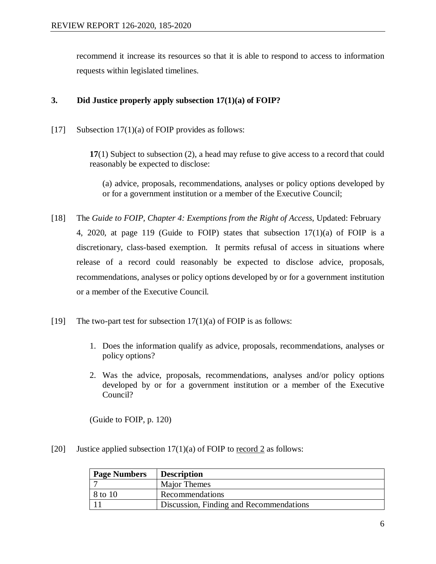recommend it increase its resources so that it is able to respond to access to information requests within legislated timelines.

# **3. Did Justice properly apply subsection 17(1)(a) of FOIP?**

[17] Subsection  $17(1)(a)$  of FOIP provides as follows:

**17**(1) Subject to subsection (2), a head may refuse to give access to a record that could reasonably be expected to disclose:

(a) advice, proposals, recommendations, analyses or policy options developed by or for a government institution or a member of the Executive Council;

- [18] The *Guide to FOIP, Chapter 4: Exemptions from the Right of Access*, Updated: February 4, 2020, at page 119 (Guide to FOIP) states that subsection 17(1)(a) of FOIP is a discretionary, class-based exemption. It permits refusal of access in situations where release of a record could reasonably be expected to disclose advice, proposals, recommendations, analyses or policy options developed by or for a government institution or a member of the Executive Council.
- [19] The two-part test for subsection  $17(1)(a)$  of FOIP is as follows:
	- 1. Does the information qualify as advice, proposals, recommendations, analyses or policy options?
	- 2. Was the advice, proposals, recommendations, analyses and/or policy options developed by or for a government institution or a member of the Executive Council?

(Guide to FOIP, p. 120)

[20] Justice applied subsection  $17(1)(a)$  of FOIP to record 2 as follows:

| <b>Page Numbers</b> | <b>Description</b>                      |
|---------------------|-----------------------------------------|
|                     | Major Themes                            |
| 8 to 10             | Recommendations                         |
|                     | Discussion, Finding and Recommendations |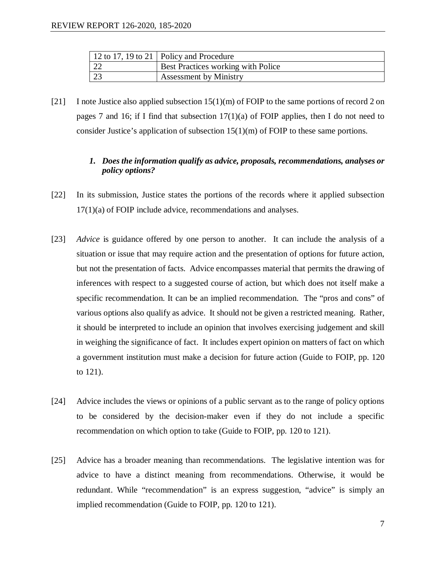|     | 12 to 17, 19 to 21   Policy and Procedure |
|-----|-------------------------------------------|
| 122 | Best Practices working with Police        |
|     | <b>Assessment by Ministry</b>             |

[21] I note Justice also applied subsection 15(1)(m) of FOIP to the same portions of record 2 on pages 7 and 16; if I find that subsection  $17(1)(a)$  of FOIP applies, then I do not need to consider Justice's application of subsection 15(1)(m) of FOIP to these same portions.

# *1. Does the information qualify as advice, proposals, recommendations, analyses or policy options?*

- [22] In its submission, Justice states the portions of the records where it applied subsection 17(1)(a) of FOIP include advice, recommendations and analyses.
- [23] *Advice* is guidance offered by one person to another. It can include the analysis of a situation or issue that may require action and the presentation of options for future action, but not the presentation of facts. Advice encompasses material that permits the drawing of inferences with respect to a suggested course of action, but which does not itself make a specific recommendation. It can be an implied recommendation. The "pros and cons" of various options also qualify as advice. It should not be given a restricted meaning. Rather, it should be interpreted to include an opinion that involves exercising judgement and skill in weighing the significance of fact. It includes expert opinion on matters of fact on which a government institution must make a decision for future action (Guide to FOIP, pp. 120 to 121).
- [24] Advice includes the views or opinions of a public servant as to the range of policy options to be considered by the decision-maker even if they do not include a specific recommendation on which option to take (Guide to FOIP, pp. 120 to 121).
- [25] Advice has a broader meaning than recommendations. The legislative intention was for advice to have a distinct meaning from recommendations. Otherwise, it would be redundant. While "recommendation" is an express suggestion, "advice" is simply an implied recommendation (Guide to FOIP, pp. 120 to 121).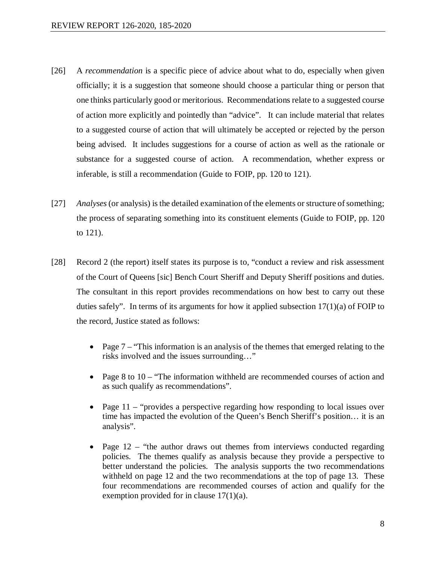- [26] A *recommendation* is a specific piece of advice about what to do, especially when given officially; it is a suggestion that someone should choose a particular thing or person that one thinks particularly good or meritorious. Recommendations relate to a suggested course of action more explicitly and pointedly than "advice". It can include material that relates to a suggested course of action that will ultimately be accepted or rejected by the person being advised. It includes suggestions for a course of action as well as the rationale or substance for a suggested course of action. A recommendation, whether express or inferable, is still a recommendation (Guide to FOIP, pp. 120 to 121).
- [27] *Analyses*(or analysis) is the detailed examination of the elements or structure of something; the process of separating something into its constituent elements (Guide to FOIP, pp. 120 to 121).
- [28] Record 2 (the report) itself states its purpose is to, "conduct a review and risk assessment of the Court of Queens [sic] Bench Court Sheriff and Deputy Sheriff positions and duties. The consultant in this report provides recommendations on how best to carry out these duties safely". In terms of its arguments for how it applied subsection  $17(1)(a)$  of FOIP to the record, Justice stated as follows:
	- Page 7 "This information is an analysis of the themes that emerged relating to the risks involved and the issues surrounding…"
	- Page 8 to 10 "The information withheld are recommended courses of action and as such qualify as recommendations".
	- Page 11 "provides a perspective regarding how responding to local issues over time has impacted the evolution of the Queen's Bench Sheriff's position… it is an analysis".
	- Page  $12$  "the author draws out themes from interviews conducted regarding policies. The themes qualify as analysis because they provide a perspective to better understand the policies. The analysis supports the two recommendations withheld on page 12 and the two recommendations at the top of page 13. These four recommendations are recommended courses of action and qualify for the exemption provided for in clause 17(1)(a).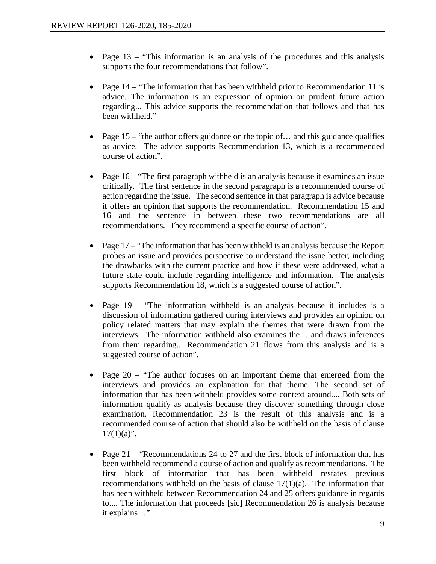- Page 13 "This information is an analysis of the procedures and this analysis supports the four recommendations that follow".
- Page 14 "The information that has been withheld prior to Recommendation 11 is advice. The information is an expression of opinion on prudent future action regarding... This advice supports the recommendation that follows and that has been withheld."
- Page 15 "the author offers guidance on the topic of... and this guidance qualifies as advice. The advice supports Recommendation 13, which is a recommended course of action".
- Page 16 "The first paragraph withheld is an analysis because it examines an issue critically. The first sentence in the second paragraph is a recommended course of action regarding the issue. The second sentence in that paragraph is advice because it offers an opinion that supports the recommendation. Recommendation 15 and 16 and the sentence in between these two recommendations are all recommendations. They recommend a specific course of action".
- Page 17 "The information that has been withheld is an analysis because the Report probes an issue and provides perspective to understand the issue better, including the drawbacks with the current practice and how if these were addressed, what a future state could include regarding intelligence and information. The analysis supports Recommendation 18, which is a suggested course of action".
- Page 19 "The information withheld is an analysis because it includes is a discussion of information gathered during interviews and provides an opinion on policy related matters that may explain the themes that were drawn from the interviews. The information withheld also examines the… and draws inferences from them regarding... Recommendation 21 flows from this analysis and is a suggested course of action".
- Page 20 "The author focuses on an important theme that emerged from the interviews and provides an explanation for that theme. The second set of information that has been withheld provides some context around.... Both sets of information qualify as analysis because they discover something through close examination. Recommendation 23 is the result of this analysis and is a recommended course of action that should also be withheld on the basis of clause  $17(1)(a)$ ".
- Page 21 "Recommendations 24 to 27 and the first block of information that has been withheld recommend a course of action and qualify as recommendations. The first block of information that has been withheld restates previous recommendations withheld on the basis of clause  $17(1)(a)$ . The information that has been withheld between Recommendation 24 and 25 offers guidance in regards to.... The information that proceeds [sic] Recommendation 26 is analysis because it explains…".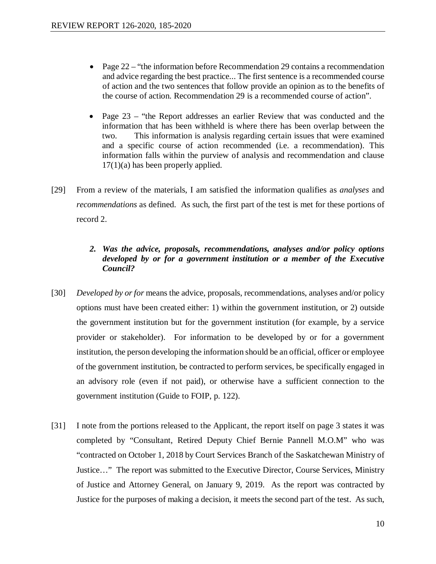- Page 22 "the information before Recommendation 29 contains a recommendation and advice regarding the best practice... The first sentence is a recommended course of action and the two sentences that follow provide an opinion as to the benefits of the course of action. Recommendation 29 is a recommended course of action".
- Page 23 "the Report addresses an earlier Review that was conducted and the information that has been withheld is where there has been overlap between the two. This information is analysis regarding certain issues that were examined and a specific course of action recommended (i.e. a recommendation). This information falls within the purview of analysis and recommendation and clause  $17(1)(a)$  has been properly applied.
- [29] From a review of the materials, I am satisfied the information qualifies as *analyses* and *recommendations* as defined. As such, the first part of the test is met for these portions of record 2.

# *2. Was the advice, proposals, recommendations, analyses and/or policy options developed by or for a government institution or a member of the Executive Council?*

- [30] *Developed by or for* means the advice, proposals, recommendations, analyses and/or policy options must have been created either: 1) within the government institution, or 2) outside the government institution but for the government institution (for example, by a service provider or stakeholder). For information to be developed by or for a government institution, the person developing the information should be an official, officer or employee of the government institution, be contracted to perform services, be specifically engaged in an advisory role (even if not paid), or otherwise have a sufficient connection to the government institution (Guide to FOIP, p. 122).
- [31] I note from the portions released to the Applicant, the report itself on page 3 states it was completed by "Consultant, Retired Deputy Chief Bernie Pannell M.O.M" who was "contracted on October 1, 2018 by Court Services Branch of the Saskatchewan Ministry of Justice…" The report was submitted to the Executive Director, Course Services, Ministry of Justice and Attorney General, on January 9, 2019. As the report was contracted by Justice for the purposes of making a decision, it meets the second part of the test. As such,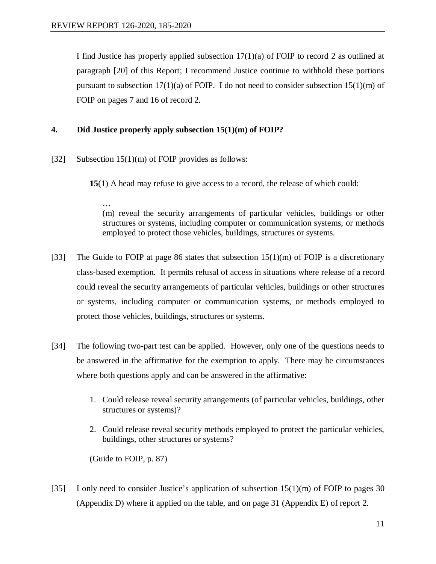I find Justice has properly applied subsection 17(1)(a) of FOIP to record 2 as outlined at paragraph [20] of this Report; I recommend Justice continue to withhold these portions pursuant to subsection  $17(1)(a)$  of FOIP. I do not need to consider subsection  $15(1)(m)$  of FOIP on pages 7 and 16 of record 2.

### **4. Did Justice properly apply subsection 15(1)(m) of FOIP?**

[32] Subsection 15(1)(m) of FOIP provides as follows:

**15**(1) A head may refuse to give access to a record, the release of which could:

… (m) reveal the security arrangements of particular vehicles, buildings or other structures or systems, including computer or communication systems, or methods employed to protect those vehicles, buildings, structures or systems.

- [33] The Guide to FOIP at page 86 states that subsection  $15(1)(m)$  of FOIP is a discretionary class-based exemption. It permits refusal of access in situations where release of a record could reveal the security arrangements of particular vehicles, buildings or other structures or systems, including computer or communication systems, or methods employed to protect those vehicles, buildings, structures or systems.
- [34] The following two-part test can be applied. However, only one of the questions needs to be answered in the affirmative for the exemption to apply. There may be circumstances where both questions apply and can be answered in the affirmative:
	- 1. Could release reveal security arrangements (of particular vehicles, buildings, other structures or systems)?
	- 2. Could release reveal security methods employed to protect the particular vehicles, buildings, other structures or systems?

(Guide to FOIP, p. 87)

[35] I only need to consider Justice's application of subsection 15(1)(m) of FOIP to pages 30 (Appendix D) where it applied on the table, and on page 31 (Appendix E) of report 2.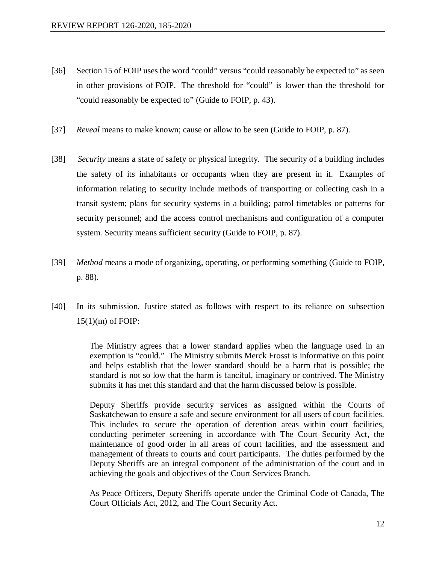- [36] Section 15 of FOIP uses the word "could" versus "could reasonably be expected to" as seen in other provisions of FOIP. The threshold for "could" is lower than the threshold for "could reasonably be expected to" (Guide to FOIP, p. 43).
- [37] *Reveal* means to make known; cause or allow to be seen (Guide to FOIP, p. 87).
- [38] *Security* means a state of safety or physical integrity. The security of a building includes the safety of its inhabitants or occupants when they are present in it. Examples of information relating to security include methods of transporting or collecting cash in a transit system; plans for security systems in a building; patrol timetables or patterns for security personnel; and the access control mechanisms and configuration of a computer system. Security means sufficient security (Guide to FOIP, p. 87).
- [39] *Method* means a mode of organizing, operating, or performing something (Guide to FOIP, p. 88).
- [40] In its submission, Justice stated as follows with respect to its reliance on subsection 15(1)(m) of FOIP:

The Ministry agrees that a lower standard applies when the language used in an exemption is "could." The Ministry submits Merck Frosst is informative on this point and helps establish that the lower standard should be a harm that is possible; the standard is not so low that the harm is fanciful, imaginary or contrived. The Ministry submits it has met this standard and that the harm discussed below is possible.

Deputy Sheriffs provide security services as assigned within the Courts of Saskatchewan to ensure a safe and secure environment for all users of court facilities. This includes to secure the operation of detention areas within court facilities, conducting perimeter screening in accordance with The Court Security Act, the maintenance of good order in all areas of court facilities, and the assessment and management of threats to courts and court participants. The duties performed by the Deputy Sheriffs are an integral component of the administration of the court and in achieving the goals and objectives of the Court Services Branch.

As Peace Officers, Deputy Sheriffs operate under the Criminal Code of Canada, The Court Officials Act, 2012, and The Court Security Act.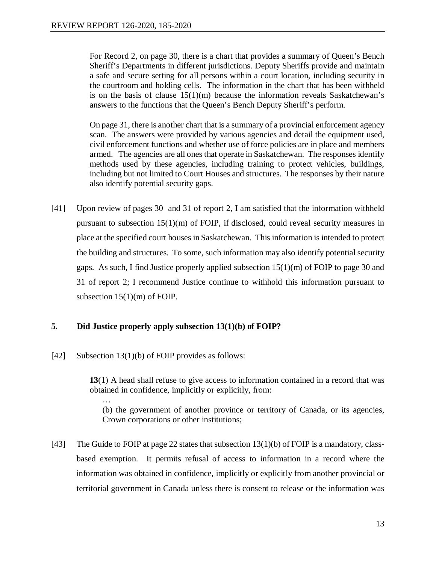For Record 2, on page 30, there is a chart that provides a summary of Queen's Bench Sheriff's Departments in different jurisdictions. Deputy Sheriffs provide and maintain a safe and secure setting for all persons within a court location, including security in the courtroom and holding cells. The information in the chart that has been withheld is on the basis of clause  $15(1)(m)$  because the information reveals Saskatchewan's answers to the functions that the Queen's Bench Deputy Sheriff's perform.

On page 31, there is another chart that is a summary of a provincial enforcement agency scan. The answers were provided by various agencies and detail the equipment used, civil enforcement functions and whether use of force policies are in place and members armed. The agencies are all ones that operate in Saskatchewan. The responses identify methods used by these agencies, including training to protect vehicles, buildings, including but not limited to Court Houses and structures. The responses by their nature also identify potential security gaps.

[41] Upon review of pages 30 and 31 of report 2, I am satisfied that the information withheld pursuant to subsection 15(1)(m) of FOIP, if disclosed, could reveal security measures in place at the specified court houses in Saskatchewan. This information is intended to protect the building and structures. To some, such information may also identify potential security gaps. As such, I find Justice properly applied subsection 15(1)(m) of FOIP to page 30 and 31 of report 2; I recommend Justice continue to withhold this information pursuant to subsection 15(1)(m) of FOIP.

# **5. Did Justice properly apply subsection 13(1)(b) of FOIP?**

[42] Subsection 13(1)(b) of FOIP provides as follows:

**13**(1) A head shall refuse to give access to information contained in a record that was obtained in confidence, implicitly or explicitly, from:

… (b) the government of another province or territory of Canada, or its agencies, Crown corporations or other institutions;

[43] The Guide to FOIP at page 22 states that subsection 13(1)(b) of FOIP is a mandatory, classbased exemption. It permits refusal of access to information in a record where the information was obtained in confidence, implicitly or explicitly from another provincial or territorial government in Canada unless there is consent to release or the information was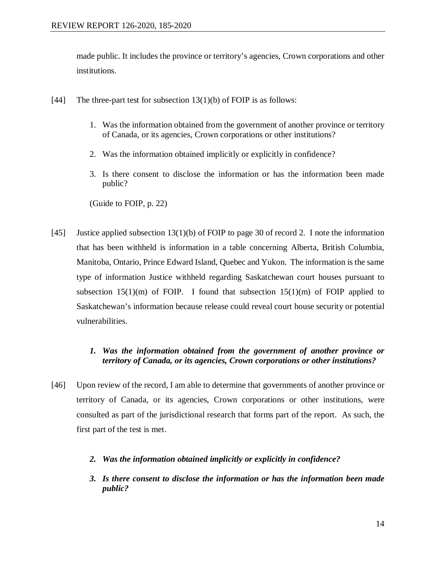made public. It includes the province or territory's agencies, Crown corporations and other institutions.

- [44] The three-part test for subsection  $13(1)(b)$  of FOIP is as follows:
	- 1. Was the information obtained from the government of another province or territory of Canada, or its agencies, Crown corporations or other institutions?
	- 2. Was the information obtained implicitly or explicitly in confidence?
	- 3. Is there consent to disclose the information or has the information been made public?

(Guide to FOIP, p. 22)

[45] Justice applied subsection 13(1)(b) of FOIP to page 30 of record 2. I note the information that has been withheld is information in a table concerning Alberta, British Columbia, Manitoba, Ontario, Prince Edward Island, Quebec and Yukon. The information is the same type of information Justice withheld regarding Saskatchewan court houses pursuant to subsection  $15(1)(m)$  of FOIP. I found that subsection  $15(1)(m)$  of FOIP applied to Saskatchewan's information because release could reveal court house security or potential vulnerabilities.

# *1. Was the information obtained from the government of another province or territory of Canada, or its agencies, Crown corporations or other institutions?*

- [46] Upon review of the record, I am able to determine that governments of another province or territory of Canada, or its agencies, Crown corporations or other institutions, were consulted as part of the jurisdictional research that forms part of the report. As such, the first part of the test is met.
	- *2. Was the information obtained implicitly or explicitly in confidence?*
	- *3. Is there consent to disclose the information or has the information been made public?*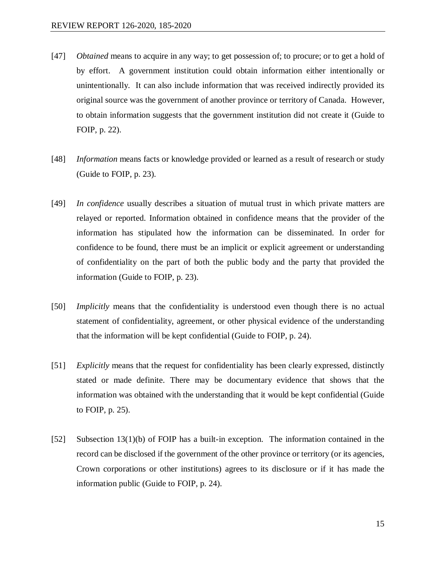- [47] *Obtained* means to acquire in any way; to get possession of; to procure; or to get a hold of by effort. A government institution could obtain information either intentionally or unintentionally. It can also include information that was received indirectly provided its original source was the government of another province or territory of Canada. However, to obtain information suggests that the government institution did not create it (Guide to FOIP, p. 22).
- [48] *Information* means facts or knowledge provided or learned as a result of research or study (Guide to FOIP, p. 23).
- [49] *In confidence* usually describes a situation of mutual trust in which private matters are relayed or reported. Information obtained in confidence means that the provider of the information has stipulated how the information can be disseminated. In order for confidence to be found, there must be an implicit or explicit agreement or understanding of confidentiality on the part of both the public body and the party that provided the information (Guide to FOIP, p. 23).
- [50] *Implicitly* means that the confidentiality is understood even though there is no actual statement of confidentiality, agreement, or other physical evidence of the understanding that the information will be kept confidential (Guide to FOIP, p. 24).
- [51] *Explicitly* means that the request for confidentiality has been clearly expressed, distinctly stated or made definite. There may be documentary evidence that shows that the information was obtained with the understanding that it would be kept confidential (Guide to FOIP, p. 25).
- [52] Subsection 13(1)(b) of FOIP has a built-in exception. The information contained in the record can be disclosed if the government of the other province or territory (or its agencies, Crown corporations or other institutions) agrees to its disclosure or if it has made the information public (Guide to FOIP, p. 24).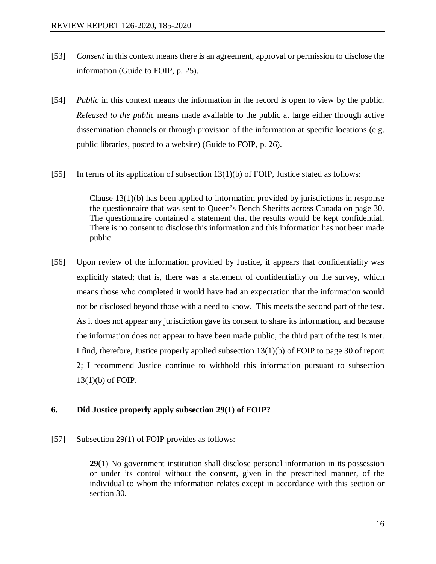- [53] *Consent* in this context means there is an agreement, approval or permission to disclose the information (Guide to FOIP, p. 25).
- [54] *Public* in this context means the information in the record is open to view by the public. *Released to the public* means made available to the public at large either through active dissemination channels or through provision of the information at specific locations (e.g. public libraries, posted to a website) (Guide to FOIP, p. 26).
- [55] In terms of its application of subsection 13(1)(b) of FOIP, Justice stated as follows:

Clause 13(1)(b) has been applied to information provided by jurisdictions in response the questionnaire that was sent to Queen's Bench Sheriffs across Canada on page 30. The questionnaire contained a statement that the results would be kept confidential. There is no consent to disclose this information and this information has not been made public.

[56] Upon review of the information provided by Justice, it appears that confidentiality was explicitly stated; that is, there was a statement of confidentiality on the survey, which means those who completed it would have had an expectation that the information would not be disclosed beyond those with a need to know. This meets the second part of the test. As it does not appear any jurisdiction gave its consent to share its information, and because the information does not appear to have been made public, the third part of the test is met. I find, therefore, Justice properly applied subsection 13(1)(b) of FOIP to page 30 of report 2; I recommend Justice continue to withhold this information pursuant to subsection 13(1)(b) of FOIP.

#### **6. Did Justice properly apply subsection 29(1) of FOIP?**

[57] Subsection 29(1) of FOIP provides as follows:

**29**(1) No government institution shall disclose personal information in its possession or under its control without the consent, given in the prescribed manner, of the individual to whom the information relates except in accordance with this section or section 30.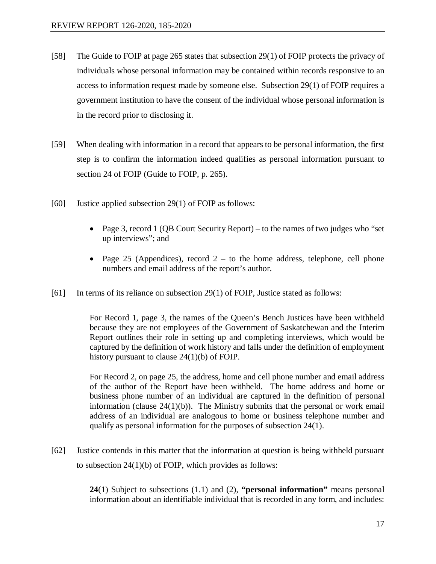- [58] The Guide to FOIP at page 265 states that subsection 29(1) of FOIP protects the privacy of individuals whose personal information may be contained within records responsive to an access to information request made by someone else. Subsection 29(1) of FOIP requires a government institution to have the consent of the individual whose personal information is in the record prior to disclosing it.
- [59] When dealing with information in a record that appears to be personal information, the first step is to confirm the information indeed qualifies as personal information pursuant to section 24 of FOIP (Guide to FOIP, p. 265).
- [60] Justice applied subsection 29(1) of FOIP as follows:
	- Page 3, record 1 (OB Court Security Report) to the names of two judges who "set" up interviews"; and
	- Page 25 (Appendices), record  $2 -$  to the home address, telephone, cell phone numbers and email address of the report's author.
- [61] In terms of its reliance on subsection 29(1) of FOIP, Justice stated as follows:

For Record 1, page 3, the names of the Queen's Bench Justices have been withheld because they are not employees of the Government of Saskatchewan and the Interim Report outlines their role in setting up and completing interviews, which would be captured by the definition of work history and falls under the definition of employment history pursuant to clause 24(1)(b) of FOIP.

For Record 2, on page 25, the address, home and cell phone number and email address of the author of the Report have been withheld. The home address and home or business phone number of an individual are captured in the definition of personal information (clause  $24(1)(b)$ ). The Ministry submits that the personal or work email address of an individual are analogous to home or business telephone number and qualify as personal information for the purposes of subsection 24(1).

[62] Justice contends in this matter that the information at question is being withheld pursuant to subsection 24(1)(b) of FOIP, which provides as follows:

> **24**(1) Subject to subsections (1.1) and (2), **"personal information"** means personal information about an identifiable individual that is recorded in any form, and includes: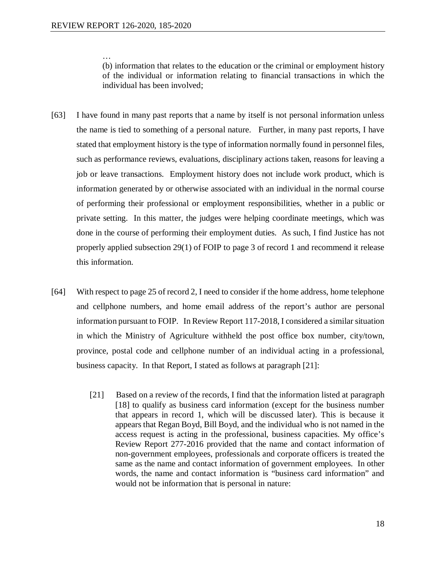… (b) information that relates to the education or the criminal or employment history of the individual or information relating to financial transactions in which the individual has been involved;

- [63] I have found in many past reports that a name by itself is not personal information unless the name is tied to something of a personal nature. Further, in many past reports, I have stated that employment history is the type of information normally found in personnel files, such as performance reviews, evaluations, disciplinary actions taken, reasons for leaving a job or leave transactions. Employment history does not include work product, which is information generated by or otherwise associated with an individual in the normal course of performing their professional or employment responsibilities, whether in a public or private setting. In this matter, the judges were helping coordinate meetings, which was done in the course of performing their employment duties. As such, I find Justice has not properly applied subsection 29(1) of FOIP to page 3 of record 1 and recommend it release this information.
- [64] With respect to page 25 of record 2, I need to consider if the home address, home telephone and cellphone numbers, and home email address of the report's author are personal information pursuant to FOIP. In Review Report 117-2018, I considered a similar situation in which the Ministry of Agriculture withheld the post office box number, city/town, province, postal code and cellphone number of an individual acting in a professional, business capacity. In that Report, I stated as follows at paragraph [21]:
	- [21] Based on a review of the records, I find that the information listed at paragraph [18] to qualify as business card information (except for the business number that appears in record 1, which will be discussed later). This is because it appears that Regan Boyd, Bill Boyd, and the individual who is not named in the access request is acting in the professional, business capacities. My office's Review Report 277-2016 provided that the name and contact information of non-government employees, professionals and corporate officers is treated the same as the name and contact information of government employees. In other words, the name and contact information is "business card information" and would not be information that is personal in nature: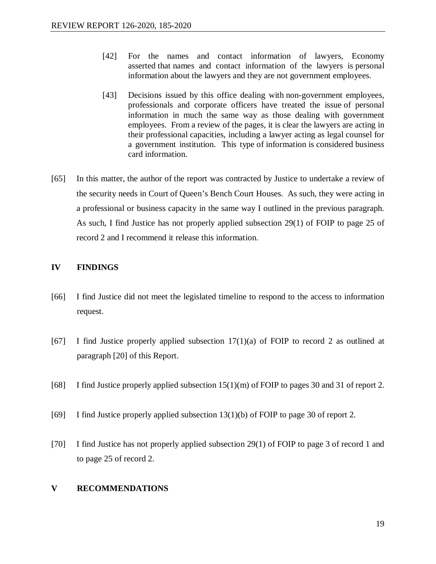- [42] For the names and contact information of lawyers, Economy asserted that names and contact information of the lawyers is personal information about the lawyers and they are not government employees.
- [43] Decisions issued by this office dealing with non-government employees, professionals and corporate officers have treated the issue of personal information in much the same way as those dealing with government employees. From a review of the pages, it is clear the lawyers are acting in their professional capacities, including a lawyer acting as legal counsel for a government institution. This type of information is considered business card information.
- [65] In this matter, the author of the report was contracted by Justice to undertake a review of the security needs in Court of Queen's Bench Court Houses. As such, they were acting in a professional or business capacity in the same way I outlined in the previous paragraph. As such, I find Justice has not properly applied subsection 29(1) of FOIP to page 25 of record 2 and I recommend it release this information.

# **IV FINDINGS**

- [66] I find Justice did not meet the legislated timeline to respond to the access to information request.
- [67] I find Justice properly applied subsection  $17(1)(a)$  of FOIP to record 2 as outlined at paragraph [20] of this Report.
- [68] I find Justice properly applied subsection 15(1)(m) of FOIP to pages 30 and 31 of report 2.
- [69] I find Justice properly applied subsection 13(1)(b) of FOIP to page 30 of report 2.
- [70] I find Justice has not properly applied subsection 29(1) of FOIP to page 3 of record 1 and to page 25 of record 2.

# **V RECOMMENDATIONS**